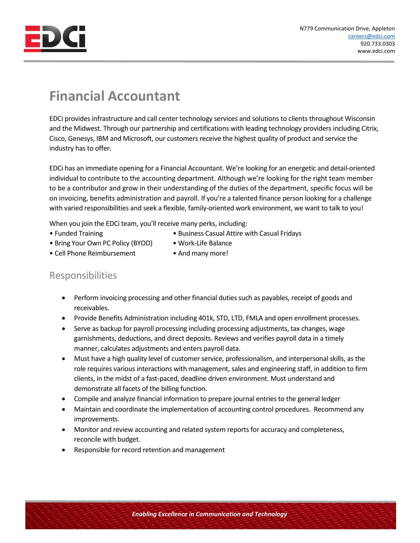

## **Financial Accountant**

EDCi provides infrastructure and call center technology services and solutions to clients throughout Wisconsin and the Midwest. Through our partnership and certifications with leading technology providers including Citrix, Cisco, Genesys, IBM and Microsoft, our customers receive the highest quality of product and service the industry has to offer.

EDCi has an immediate opening for a Financial Accountant. We're looking for an energetic and detail-oriented individual to contribute to the accounting department. Although we're looking for the right team member to be a contributor and grow in their understanding of the duties of the department, specific focus will be on invoicing, benefits administration and payroll. If you're a talented finance person looking for a challenge with varied responsibilities and seek a flexible, family-oriented work environment, we want to talk to you!

When you join the EDCi team, you'll receive many perks, including:

- Funded Training  **Business Casual Attire with Casual Fridays**
- Bring Your Own PC Policy (BYOD) Work-Life Balance
- Cell Phone Reimbursement And many more!
- 

## Responsibilities

- Perform invoicing processing and other financial duties such as payables, receipt of goods and receivables.
- Provide Benefits Administration including 401k, STD, LTD, FMLA and open enrollment processes.
- Serve as backup for payroll processing including processing adjustments, tax changes, wage garnishments, deductions, and direct deposits. Reviews and verifies payroll data in a timely manner, calculates adjustments and enters payroll data.
- Must have a high quality level of customer service, professionalism, and interpersonal skills, as the role requires various interactions with management, sales and engineering staff, in addition to firm clients, in the midst of a fast-paced, deadline driven environment. Must understand and demonstrate all facets of the billing function.
- Compile and analyze financial information to prepare journal entries to the general ledger
- Maintain and coordinate the implementation of accounting control procedures. Recommend any improvements.
- Monitor and review accounting and related system reports for accuracy and completeness, reconcile with budget.
- Responsible for record retention and management